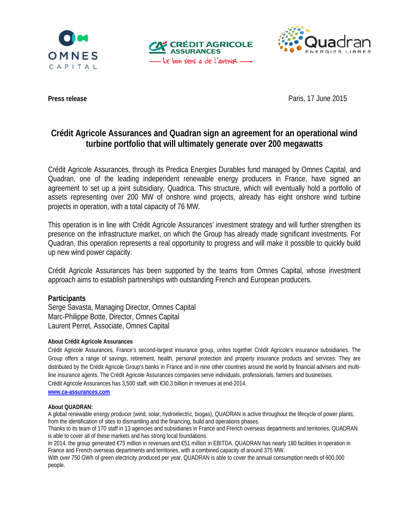





**Press release** Paris, 17 June 2015

# **Crédit Agricole Assurances and Quadran sign an agreement for an operational wind turbine portfolio that will ultimately generate over 200 megawatts**

Crédit Agricole Assurances, through its Predica Energies Durables fund managed by Omnes Capital, and Quadran, one of the leading independent renewable energy producers in France, have signed an agreement to set up a joint subsidiary, Quadrica. This structure, which will eventually hold a portfolio of assets representing over 200 MW of onshore wind projects, already has eight onshore wind turbine projects in operation, with a total capacity of 76 MW.

This operation is in line with Crédit Agricole Assurances' investment strategy and will further strengthen its presence on the infrastructure market, on which the Group has already made significant investments. For Quadran, this operation represents a real opportunity to progress and will make it possible to quickly build up new wind power capacity.

Crédit Agricole Assurances has been supported by the teams from Omnes Capital, whose investment approach aims to establish partnerships with outstanding French and European producers.

## **Participants**

Serge Savasta, Managing Director, Omnes Capital Marc-Philippe Botte, Director, Omnes Capital Laurent Perret, Associate, Omnes Capital

## **About Crédit Agricole Assurances**

Crédit Agricole Assurances, France's second-largest insurance group, unites together Crédit Agricole's insurance subsidiaries. The Group offers a range of savings, retirement, health, personal protection and property insurance products and services. They are distributed by the Crédit Agricole Group's banks in France and in nine other countries around the world by financial advisers and multiline insurance agents. The Crédit Agricole Assurances companies serve individuals, professionals, farmers and businesses. Crédit Agricole Assurances has 3,500 staff, with €30.3 billion in revenues at end-2014.

**[www.ca-assurances.com](http://www.ca-assurances.com/)**

## **About QUADRAN:**

A global renewable energy producer (wind, solar, hydroelectric, biogas), QUADRAN is active throughout the lifecycle of power plants, from the identification of sites to dismantling and the financing, build and operations phases.

Thanks to its team of 170 staff in 13 agencies and subsidiaries in France and French overseas departments and territories, QUADRAN is able to cover all of these markets and has strong local foundations.

In 2014, the group generated €75 million in revenues and €51 million in EBITDA. QUADRAN has nearly 180 facilities in operation in France and French overseas departments and territories, with a combined capacity of around 375 MW.

With over 750 GWh of green electricity produced per year, QUADRAN is able to cover the annual consumption needs of 600,000 people.